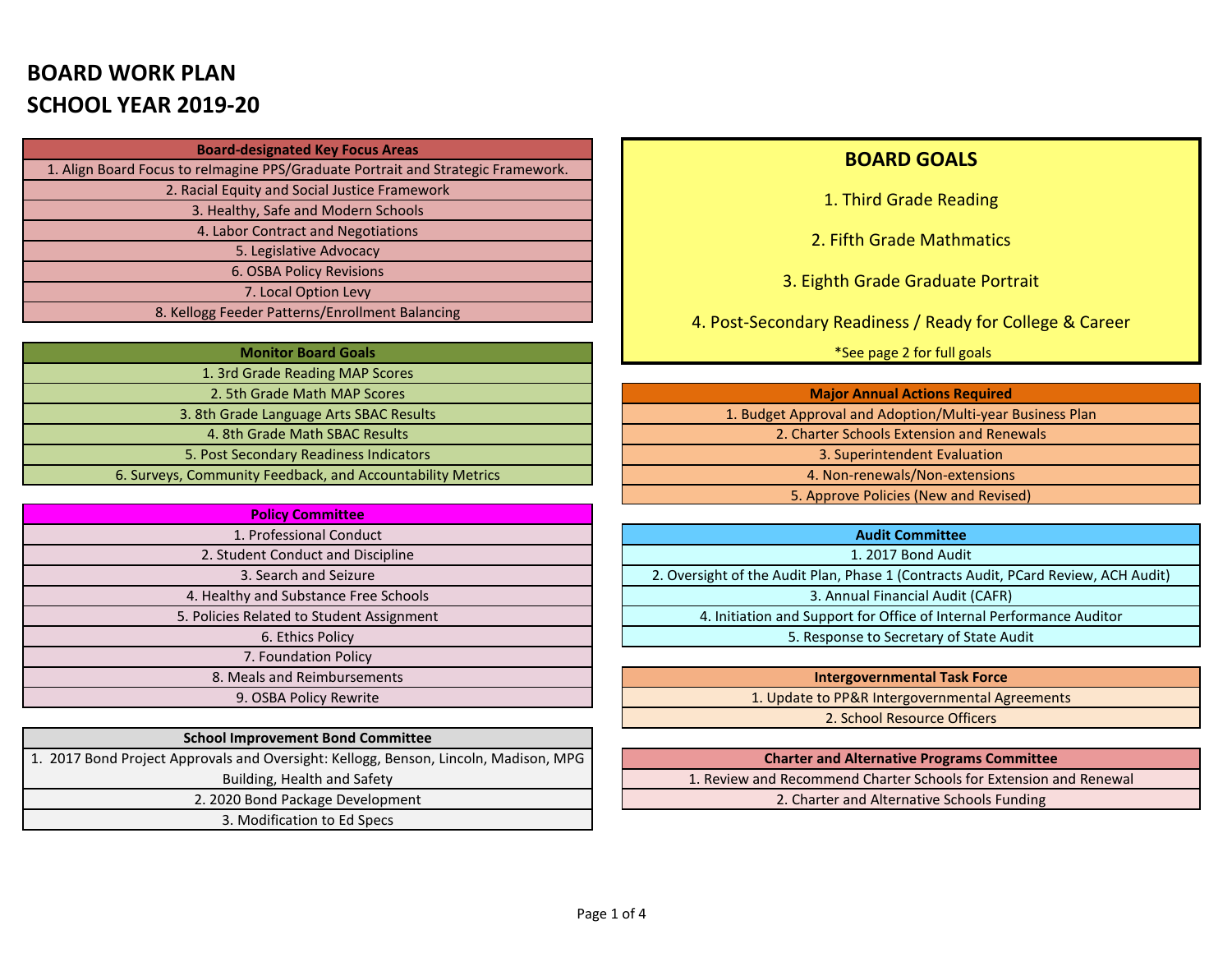# **BOARD WORK PLAN SCHOOL YEAR 2019-20**

| <b>Board-designated Key Focus Areas</b>                                          |
|----------------------------------------------------------------------------------|
| 1. Align Board Focus to relmagine PPS/Graduate Portrait and Strategic Framework. |
| 2. Racial Equity and Social Justice Framework                                    |
| 3. Healthy, Safe and Modern Schools                                              |
| 4. Labor Contract and Negotiations                                               |
| 5. Legislative Advocacy                                                          |
| 6. OSBA Policy Revisions                                                         |
| 7. Local Option Levy                                                             |
| 8. Kellogg Feeder Patterns/Enrollment Balancing                                  |

| <b>Monitor Board Goals</b>                                 |
|------------------------------------------------------------|
| 1. 3rd Grade Reading MAP Scores                            |
| 2. 5th Grade Math MAP Scores                               |
| 3. 8th Grade Language Arts SBAC Results                    |
| 4. 8th Grade Math SBAC Results                             |
| 5. Post Secondary Readiness Indicators                     |
| 6. Surveys, Community Feedback, and Accountability Metrics |

| <b>Policy Committee</b>                   |
|-------------------------------------------|
| 1. Professional Conduct                   |
| 2. Student Conduct and Discipline         |
| 3. Search and Seizure                     |
| 4. Healthy and Substance Free Schools     |
| 5. Policies Related to Student Assignment |
| 6. Ethics Policy                          |
| 7. Foundation Policy                      |
| 8. Meals and Reimbursements               |
| 9. OSBA Policy Rewrite                    |

| <b>School Improvement Bond Committee</b>                                             |
|--------------------------------------------------------------------------------------|
| 1. 2017 Bond Project Approvals and Oversight: Kellogg, Benson, Lincoln, Madison, MPG |
| Building, Health and Safety                                                          |
| 2. 2020 Bond Package Development                                                     |
| 3. Modification to Ed Specs                                                          |

#### **BOARD GOALS**

1. Third Grade Reading

2. Fifth Grade Mathmatics

3. Eighth Grade Graduate Portrait

4. Post-Secondary Readiness / Ready for College & Career

\*See page 2 for full goals

| <b>Major Annual Actions Required</b>                     |
|----------------------------------------------------------|
| 1. Budget Approval and Adoption/Multi-year Business Plan |
| 2. Charter Schools Extension and Renewals                |
| 3. Superintendent Evaluation                             |
| 4. Non-renewals/Non-extensions                           |
| 5. Approve Policies (New and Revised)                    |

| <b>Audit Committee</b>                                                             |
|------------------------------------------------------------------------------------|
| 1. 2017 Bond Audit                                                                 |
| 2. Oversight of the Audit Plan, Phase 1 (Contracts Audit, PCard Review, ACH Audit) |
| 3. Annual Financial Audit (CAFR)                                                   |
| 4. Initiation and Support for Office of Internal Performance Auditor               |
| 5. Response to Secretary of State Audit                                            |

**Intergovernmental Task Force** 1. Update to PP&R Intergovernmental Agreements 2. School Resource Officers

| <b>Charter and Alternative Programs Committee</b>                 |
|-------------------------------------------------------------------|
| 1. Review and Recommend Charter Schools for Extension and Renewal |
| 2. Charter and Alternative Schools Funding                        |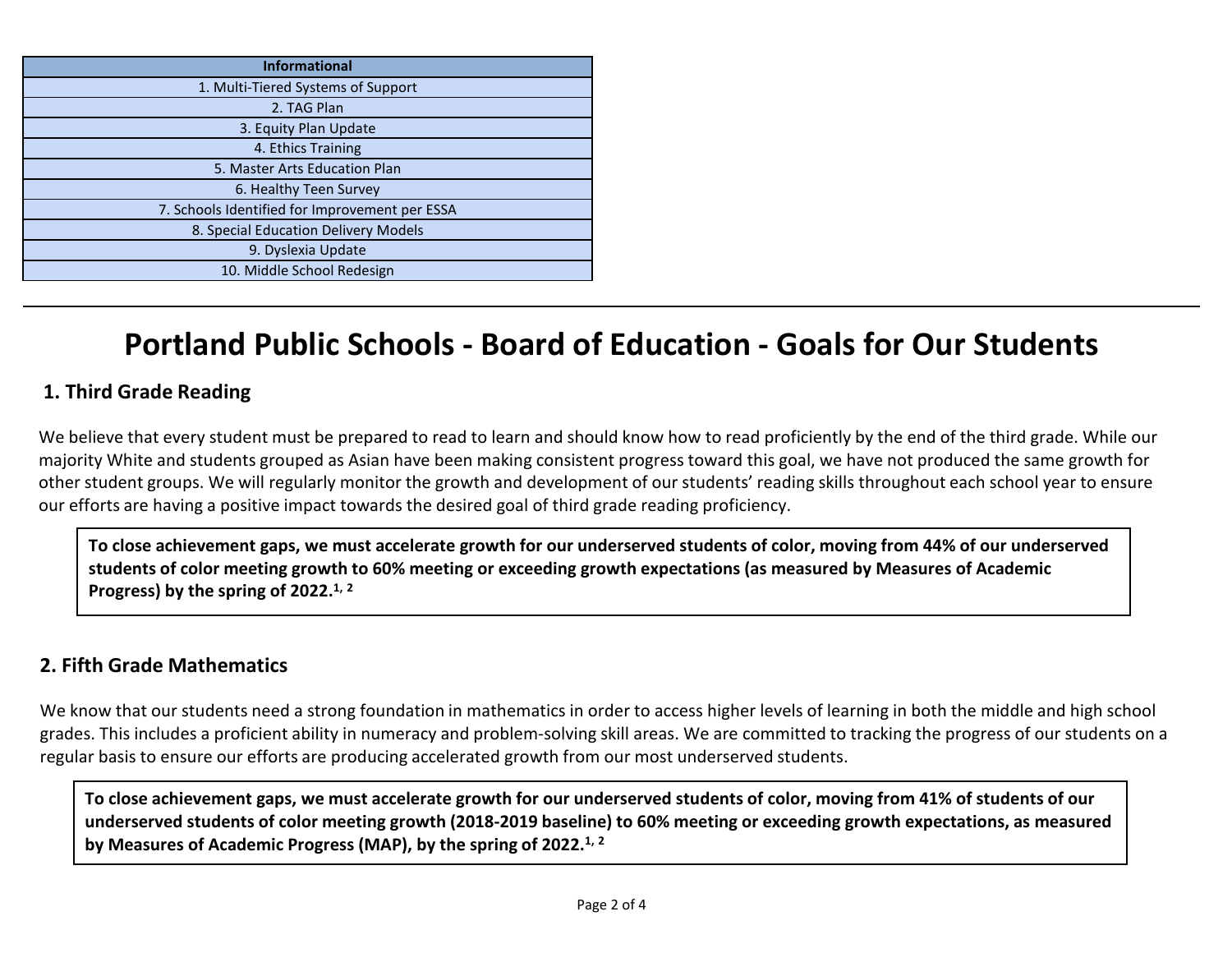| <b>Informational</b>                           |
|------------------------------------------------|
| 1. Multi-Tiered Systems of Support             |
| 2. TAG Plan                                    |
| 3. Equity Plan Update                          |
| 4. Ethics Training                             |
| 5. Master Arts Education Plan                  |
| 6. Healthy Teen Survey                         |
| 7. Schools Identified for Improvement per ESSA |
| 8. Special Education Delivery Models           |
| 9. Dyslexia Update                             |
| 10. Middle School Redesign                     |

# **Portland Public Schools - Board of Education - Goals for Our Students**

# **1. Third Grade Reading**

We believe that every student must be prepared to read to learn and should know how to read proficiently by the end of the third grade. While our majority White and students grouped as Asian have been making consistent progress toward this goal, we have not produced the same growth for other student groups. We will regularly monitor the growth and development of our students' reading skills throughout each school year to ensure our efforts are having a positive impact towards the desired goal of third grade reading proficiency.

**To close achievement gaps, we must accelerate growth for our underserved students of color, moving from 44% of our underserved students of color meeting growth to 60% meeting or exceeding growth expectations (as measured by Measures of Academic Progress) by the spring of 2022.1, <sup>2</sup>**

#### **2. Fifth Grade Mathematics**

We know that our students need a strong foundation in mathematics in order to access higher levels of learning in both the middle and high school grades. This includes a proficient ability in numeracy and problem-solving skill areas. We are committed to tracking the progress of our students on a regular basis to ensure our efforts are producing accelerated growth from our most underserved students.

**To close achievement gaps, we must accelerate growth for our underserved students of color, moving from 41% of students of our underserved students of color meeting growth (2018-2019 baseline) to 60% meeting or exceeding growth expectations, as measured by Measures of Academic Progress (MAP), by the spring of 2022.1, <sup>2</sup>**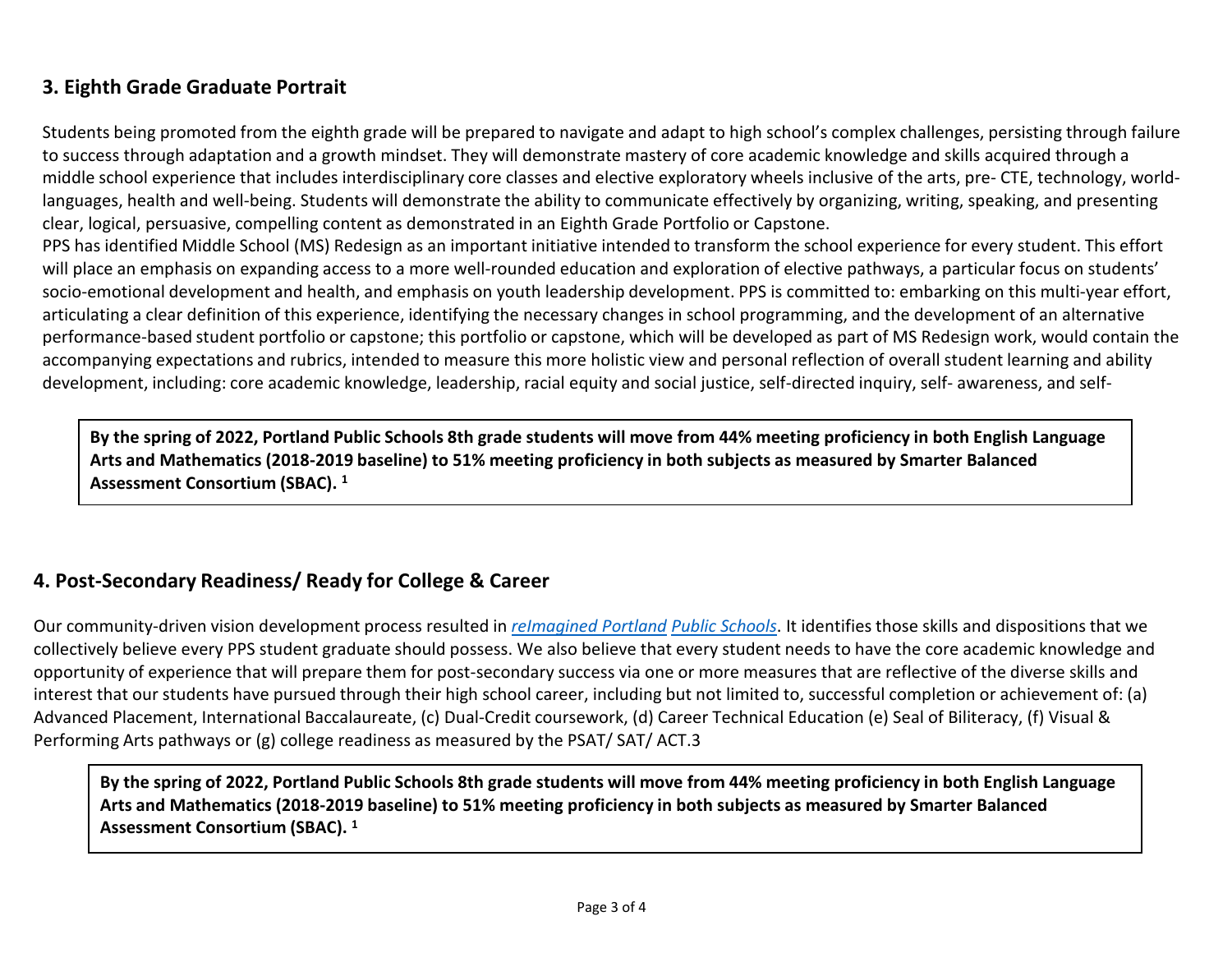# **3. Eighth Grade Graduate Portrait**

Students being promoted from the eighth grade will be prepared to navigate and adapt to high school's complex challenges, persisting through failure to success through adaptation and a growth mindset. They will demonstrate mastery of core academic knowledge and skills acquired through a middle school experience that includes interdisciplinary core classes and elective exploratory wheels inclusive of the arts, pre- CTE, technology, worldlanguages, health and well-being. Students will demonstrate the ability to communicate effectively by organizing, writing, speaking, and presenting clear, logical, persuasive, compelling content as demonstrated in an Eighth Grade Portfolio or Capstone.

PPS has identified Middle School (MS) Redesign as an important initiative intended to transform the school experience for every student. This effort will place an emphasis on expanding access to a more well-rounded education and exploration of elective pathways, a particular focus on students' socio-emotional development and health, and emphasis on youth leadership development. PPS is committed to: embarking on this multi-year effort, articulating a clear definition of this experience, identifying the necessary changes in school programming, and the development of an alternative performance-based student portfolio or capstone; this portfolio or capstone, which will be developed as part of MS Redesign work, would contain the accompanying expectations and rubrics, intended to measure this more holistic view and personal reflection of overall student learning and ability development, including: core academic knowledge, leadership, racial equity and social justice, self-directed inquiry, self- awareness, and self-

**By the spring of 2022, Portland Public Schools 8th grade students will move from 44% meeting proficiency in both English Language Arts and Mathematics (2018-2019 baseline) to 51% meeting proficiency in both subjects as measured by Smarter Balanced Assessment Consortium (SBAC). 1**

### **4. Post-Secondary Readiness/ Ready for College & Career**

Our community-driven vision development process resulted in *reImagined Portland Public Schools*. It identifies those skills and dispositions that we collectively believe every PPS student graduate should possess. We also believe that every student needs to have the core academic knowledge and opportunity of experience that will prepare them for post-secondary success via one or more measures that are reflective of the diverse skills and interest that our students have pursued through their high school career, including but not limited to, successful completion or achievement of: (a) Advanced Placement, International Baccalaureate, (c) Dual-Credit coursework, (d) Career Technical Education (e) Seal of Biliteracy, (f) Visual & Performing Arts pathways or (g) college readiness as measured by the PSAT/ SAT/ ACT.3

**By the spring of 2022, Portland Public Schools 8th grade students will move from 44% meeting proficiency in both English Language Arts and Mathematics (2018-2019 baseline) to 51% meeting proficiency in both subjects as measured by Smarter Balanced Assessment Consortium (SBAC). 1**